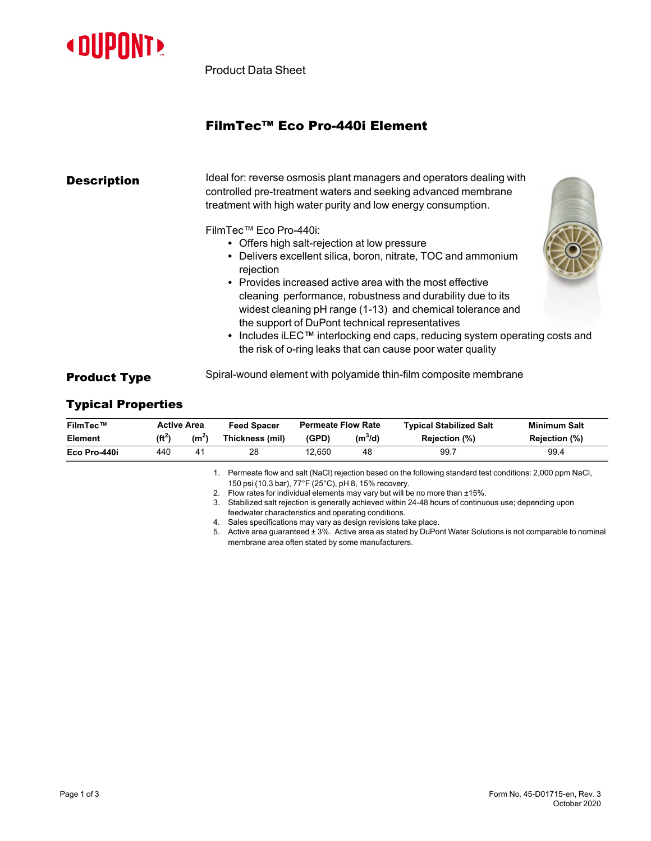

Product Data Sheet

# FilmTec™ Eco Pro-440i Element

| <b>Description</b>  | Ideal for: reverse osmosis plant managers and operators dealing with<br>controlled pre-treatment waters and seeking advanced membrane<br>treatment with high water purity and low energy consumption.                                                                                                                                                                                                                                                                                                                                                     |  |
|---------------------|-----------------------------------------------------------------------------------------------------------------------------------------------------------------------------------------------------------------------------------------------------------------------------------------------------------------------------------------------------------------------------------------------------------------------------------------------------------------------------------------------------------------------------------------------------------|--|
|                     | FilmTec™ Eco Pro-440i:<br>• Offers high salt-rejection at low pressure<br>• Delivers excellent silica, boron, nitrate, TOC and ammonium<br>rejection<br>• Provides increased active area with the most effective<br>cleaning performance, robustness and durability due to its<br>widest cleaning pH range (1-13) and chemical tolerance and<br>the support of DuPont technical representatives<br>• Includes iLEC <sup>TM</sup> interlocking end caps, reducing system operating costs and<br>the risk of o-ring leaks that can cause poor water quality |  |
| <b>Product Type</b> | Spiral-wound element with polyamide thin-film composite membrane                                                                                                                                                                                                                                                                                                                                                                                                                                                                                          |  |

## Typical Properties

| FilmTec™       |           | <b>Active Area</b> | <b>Feed Spacer</b>                                   | <b>Permeate Flow Rate</b>                                                                                       |                                                                                                      | <b>Typical Stabilized Salt</b>                                                                           | <b>Minimum Salt</b> |
|----------------|-----------|--------------------|------------------------------------------------------|-----------------------------------------------------------------------------------------------------------------|------------------------------------------------------------------------------------------------------|----------------------------------------------------------------------------------------------------------|---------------------|
| <b>Element</b> | $(f t^2)$ | (m <sup>2</sup> )  | Thickness (mil)                                      | (GPD)                                                                                                           | $(m^3/d)$                                                                                            | <b>Rejection (%)</b>                                                                                     | Rejection (%)       |
| Eco Pro-440i   | 440       | 41                 | 28                                                   | 12.650                                                                                                          | 48                                                                                                   | 99.7                                                                                                     | 99.4                |
|                |           |                    | 150 psi (10.3 bar), 77°F (25°C), pH 8, 15% recovery. |                                                                                                                 |                                                                                                      | Permeate flow and salt (NaCl) rejection based on the following standard test conditions: 2,000 ppm NaCl, |                     |
|                |           |                    |                                                      | Flow rates for individual elements may vary but will be no more than ±15%.                                      |                                                                                                      |                                                                                                          |                     |
|                |           |                    | 3.                                                   |                                                                                                                 | Stabilized salt rejection is generally achieved within 24-48 hours of continuous use; depending upon |                                                                                                          |                     |
|                |           |                    |                                                      | feedwater characteristics and operating conditions.                                                             |                                                                                                      |                                                                                                          |                     |
|                |           |                    | 4.                                                   |                                                                                                                 | Sales specifications may vary as design revisions take place.                                        |                                                                                                          |                     |
|                |           |                    | 5.                                                   | Active area quaranteed $\pm 3\%$ . Active area as stated by DuPont Water Solutions is not comparable to nominal |                                                                                                      |                                                                                                          |                     |

membrane area often stated by some manufacturers.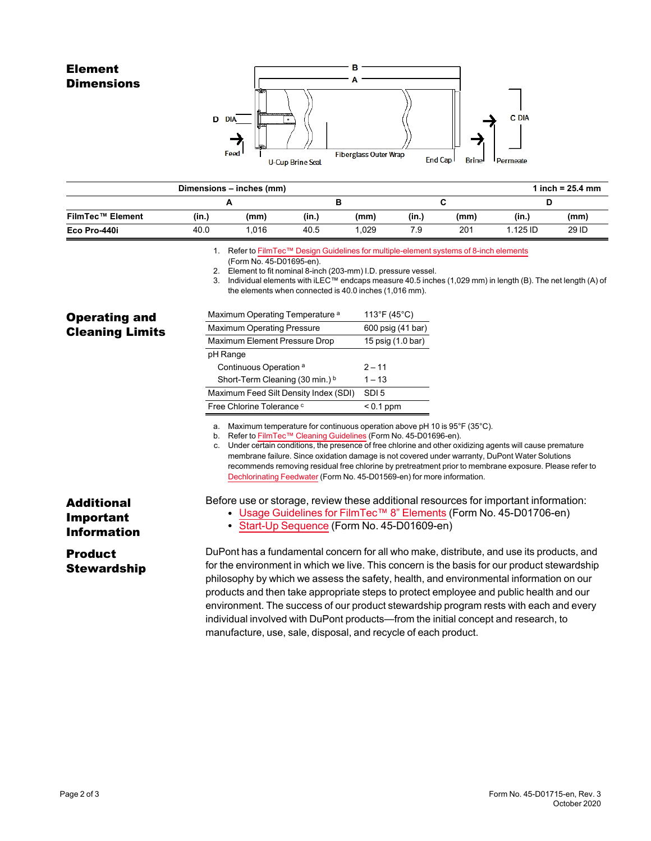### Element **Dimensions**



|                         |       | Dimensions - inches (mm) |       |      |       |      |            | 1 inch = $25.4 \, \text{mm}$ |
|-------------------------|-------|--------------------------|-------|------|-------|------|------------|------------------------------|
|                         |       |                          |       |      |       |      |            |                              |
| <b>FilmTec™ Element</b> | (in.) | (mm)                     | (in.) | (mm) | (in.) | (mm) | (in.)      | (mm)                         |
| Eco Pro-440i            | 40.0  | 1.016                    | 40.5  | .029 | 7.9   | 201  | $1.125$ ID | 29 ID                        |

1. Refer to FilmTec™ Design Guidelines for [multiple-element](https://www.dupont.com/content/dam/dupont/amer/us/en/water-solutions/public/documents/en/RO-NF-FilmTec-Membrane-Sys-Design-Guidelines-8inch-Manual-Exc-45-D01695-en.pdf) systems of 8-inch elements

(Form No. 45-D01695-en).

2. Element to fit nominal 8-inch (203-mm) I.D. pressure vessel.

3. Individual elements with iLEC™ endcaps measure 40.5 inches (1,029 mm) in length (B). The net length (A) of the elements when connected is 40.0 inches (1,016 mm).

| <b>Operating and</b>   |  |
|------------------------|--|
| <b>Cleaning Limits</b> |  |

Additional Important Information

Product **Stewardship** 

| Maximum Operating Temperature <sup>a</sup> | 113°F (45°C)      |
|--------------------------------------------|-------------------|
| <b>Maximum Operating Pressure</b>          | 600 psig (41 bar) |
| Maximum Element Pressure Drop              | 15 psig (1.0 bar) |
| pH Range                                   |                   |
| Continuous Operation <sup>a</sup>          | $2 - 11$          |
| Short-Term Cleaning (30 min.) b            | $1 - 13$          |
| Maximum Feed Silt Density Index (SDI)      | SDI <sub>5</sub>  |
| Free Chlorine Tolerance c                  | $< 0.1$ ppm       |

a. Maximum temperature for continuous operation above pH 10 is 95°F (35°C).

b. Refer to FilmTec™ Cleaning [Guidelines](https://www.dupont.com/content/dam/dupont/amer/us/en/water-solutions/public/documents/en/RO-NF-FilmTec-Cleaning-Procedures-Manual-Exc-45-D01696-en.pdf) (Form No. 45-D01696-en).

c. Under certain conditions, the presence of free chlorine and other oxidizing agents will cause premature membrane failure. Since oxidation damage is not covered under warranty, DuPont Water Solutions recommends removing residual free chlorine by pretreatment prior to membrane exposure. Please refer to [Dechlorinating](https://www.dupont.com/content/dam/dupont/amer/us/en/water-solutions/public/documents/en/RO-NF-FilmTec-Chlorination-Dechlorination-Manual-Exc-45-D01569-en.pdf) Feedwater (Form No. 45-D01569-en) for more information.

Before use or storage, review these additional resources for important information:

- Usage [Guidelines](https://www.dupont.com/content/dam/dupont/amer/us/en/water-solutions/public/documents/en/45-D01706-en.pdf) for FilmTec™ 8" Elements (Form No. 45-D01706-en)
- Start-Up [Sequence](https://www.dupont.com/content/dam/dupont/amer/us/en/water-solutions/public/documents/en/RO-NF-FilmTec-Start-Up-Sequence-Manual-Exc-45-D01609-en.pdf) (Form No. 45-D01609-en)

#### DuPont has a fundamental concern for all who make, distribute, and use its products, and for the environment in which we live. This concern is the basis for our product stewardship philosophy by which we assess the safety, health, and environmental information on our products and then take appropriate steps to protect employee and public health and our environment. The success of our product stewardship program rests with each and every individual involved with DuPont products—from the initial concept and research, to manufacture, use, sale, disposal, and recycle of each product.